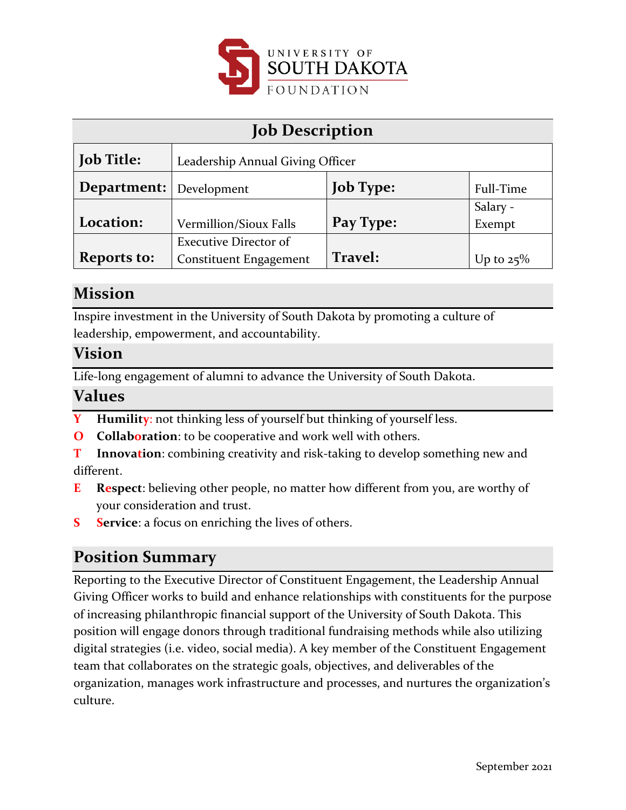

| <b>Job Description</b>         |                                  |                  |              |
|--------------------------------|----------------------------------|------------------|--------------|
| <b>Job Title:</b>              | Leadership Annual Giving Officer |                  |              |
| <b>Department:</b> Development |                                  | <b>Job Type:</b> | Full-Time    |
|                                |                                  |                  | Salary -     |
| Location:                      | Vermillion/Sioux Falls           | Pay Type:        | Exempt       |
|                                | <b>Executive Director of</b>     |                  |              |
| <b>Reports to:</b>             | <b>Constituent Engagement</b>    | Travel:          | Up to $25\%$ |

### **Mission**

Inspire investment in the University of South Dakota by promoting a culture of leadership, empowerment, and accountability.

#### **Vision**

Life-long engagement of alumni to advance the University of South Dakota.

### **Values**

- **Y Humility**: not thinking less of yourself but thinking of yourself less.
- **O Collaboration**: to be cooperative and work well with others.
- **T Innovation**: combining creativity and risk-taking to develop something new and different.
- **E Respect**: believing other people, no matter how different from you, are worthy of your consideration and trust.
- **S Service**: a focus on enriching the lives of others.

## **Position Summary**

Reporting to the Executive Director of Constituent Engagement, the Leadership Annual Giving Officer works to build and enhance relationships with constituents for the purpose of increasing philanthropic financial support of the University of South Dakota. This position will engage donors through traditional fundraising methods while also utilizing digital strategies (i.e. video, social media). A key member of the Constituent Engagement team that collaborates on the strategic goals, objectives, and deliverables of the organization, manages work infrastructure and processes, and nurtures the organization's culture.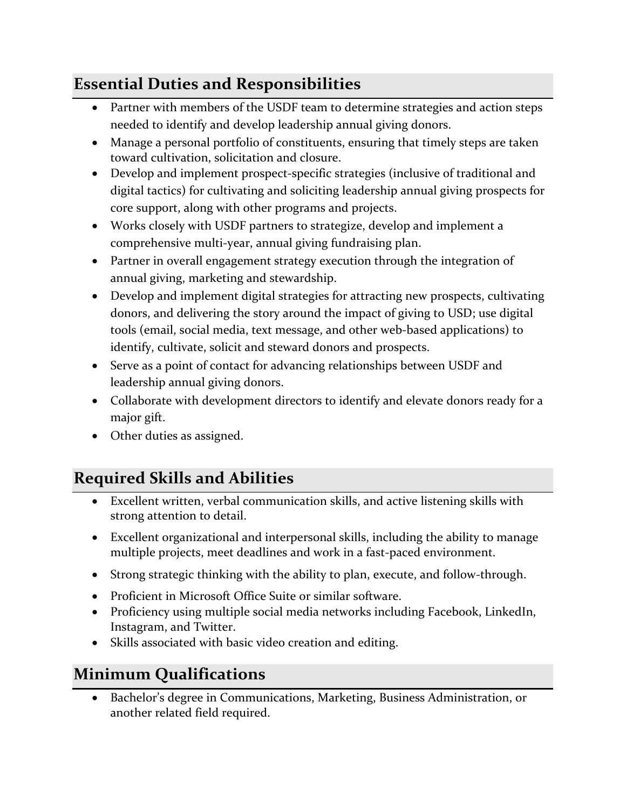## **Essential Duties and Responsibilities**

- Partner with members of the USDF team to determine strategies and action steps needed to identify and develop leadership annual giving donors.
- Manage a personal portfolio of constituents, ensuring that timely steps are taken toward cultivation, solicitation and closure.
- Develop and implement prospect-specific strategies (inclusive of traditional and digital tactics) for cultivating and soliciting leadership annual giving prospects for core support, along with other programs and projects.
- Works closely with USDF partners to strategize, develop and implement a comprehensive multi-year, annual giving fundraising plan.
- Partner in overall engagement strategy execution through the integration of annual giving, marketing and stewardship.
- Develop and implement digital strategies for attracting new prospects, cultivating donors, and delivering the story around the impact of giving to USD; use digital tools (email, social media, text message, and other web-based applications) to identify, cultivate, solicit and steward donors and prospects.
- Serve as a point of contact for advancing relationships between USDF and leadership annual giving donors.
- Collaborate with development directors to identify and elevate donors ready for a major gift.
- Other duties as assigned.

# **Required Skills and Abilities**

- Excellent written, verbal communication skills, and active listening skills with strong attention to detail.
- Excellent organizational and interpersonal skills, including the ability to manage multiple projects, meet deadlines and work in a fast-paced environment.
- Strong strategic thinking with the ability to plan, execute, and follow-through.
- Proficient in Microsoft Office Suite or similar software.
- Proficiency using multiple social media networks including Facebook, LinkedIn, Instagram, and Twitter.
- Skills associated with basic video creation and editing.

## **Minimum Qualifications**

• Bachelor's degree in Communications, Marketing, Business Administration, or another related field required.